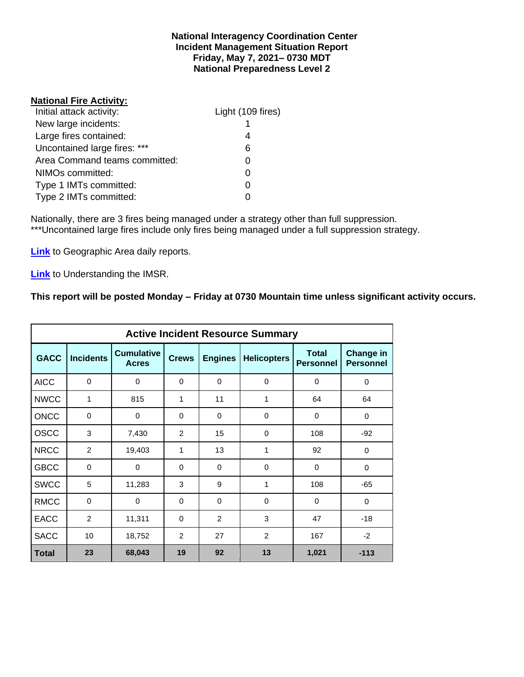#### **National Interagency Coordination Center Incident Management Situation Report Friday, May 7, 2021– 0730 MDT National Preparedness Level 2**

## **National Fire Activity:**

| Initial attack activity:      | Light (109 fires) |
|-------------------------------|-------------------|
| New large incidents:          |                   |
| Large fires contained:        |                   |
| Uncontained large fires: ***  | 6                 |
| Area Command teams committed: |                   |
| NIMOs committed:              |                   |
| Type 1 IMTs committed:        |                   |
| Type 2 IMTs committed:        |                   |

Nationally, there are 3 fires being managed under a strategy other than full suppression. \*\*\*Uncontained large fires include only fires being managed under a full suppression strategy.

**[Link](http://www.nifc.gov/nicc/predictive/statelinks.htm)** to Geographic Area daily reports.

**[Link](https://www.predictiveservices.nifc.gov/intelligence/Understanding%20the%20IMSR%202019.pdf)** to Understanding the IMSR.

## **This report will be posted Monday – Friday at 0730 Mountain time unless significant activity occurs.**

|              |                  |                                   |                |                | <b>Active Incident Resource Summary</b> |                                  |                                      |
|--------------|------------------|-----------------------------------|----------------|----------------|-----------------------------------------|----------------------------------|--------------------------------------|
| <b>GACC</b>  | <b>Incidents</b> | <b>Cumulative</b><br><b>Acres</b> | <b>Crews</b>   | <b>Engines</b> | <b>Helicopters</b>                      | <b>Total</b><br><b>Personnel</b> | <b>Change in</b><br><b>Personnel</b> |
| <b>AICC</b>  | $\Omega$         | 0                                 | $\Omega$       | $\Omega$       | $\Omega$                                | $\Omega$                         | 0                                    |
| <b>NWCC</b>  | $\mathbf{1}$     | 815                               | 1              | 11             | 1                                       | 64                               | 64                                   |
| <b>ONCC</b>  | $\mathbf 0$      | 0                                 | $\mathbf 0$    | $\Omega$       | $\Omega$                                | 0                                | 0                                    |
| OSCC         | 3                | 7,430                             | 2              | 15             | $\Omega$                                | 108                              | $-92$                                |
| <b>NRCC</b>  | 2                | 19,403                            | 1              | 13             | 1                                       | 92                               | $\mathbf 0$                          |
| <b>GBCC</b>  | $\mathbf 0$      | 0                                 | $\mathbf 0$    | 0              | $\Omega$                                | $\mathbf 0$                      | 0                                    |
| <b>SWCC</b>  | 5                | 11,283                            | 3              | 9              | 1                                       | 108                              | $-65$                                |
| <b>RMCC</b>  | $\mathbf 0$      | 0                                 | $\Omega$       | $\Omega$       | $\Omega$                                | $\Omega$                         | $\mathbf 0$                          |
| <b>EACC</b>  | $\overline{2}$   | 11,311                            | 0              | 2              | 3                                       | 47                               | $-18$                                |
| <b>SACC</b>  | 10               | 18,752                            | $\overline{2}$ | 27             | 2                                       | 167                              | $-2$                                 |
| <b>Total</b> | 23               | 68,043                            | 19             | 92             | 13                                      | 1,021                            | $-113$                               |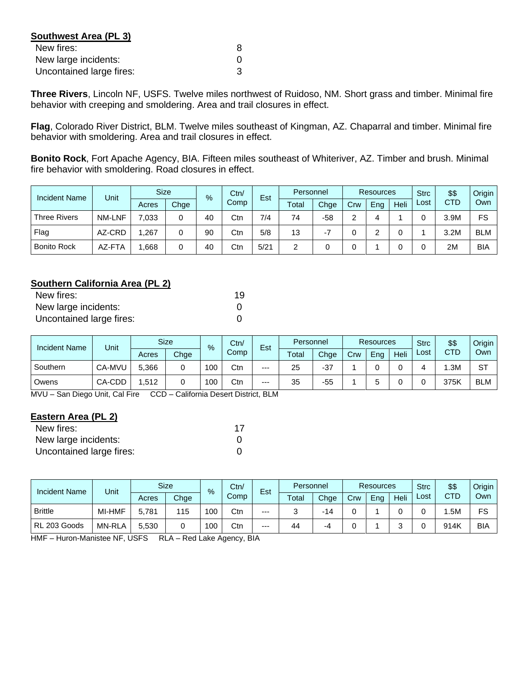| Southwest Area (PL 3)    |   |
|--------------------------|---|
| New fires:               | 8 |
| New large incidents:     |   |
| Uncontained large fires: |   |

**Three Rivers**, Lincoln NF, USFS. Twelve miles northwest of Ruidoso, NM. Short grass and timber. Minimal fire behavior with creeping and smoldering. Area and trail closures in effect.

**Flag**, Colorado River District, BLM. Twelve miles southeast of Kingman, AZ. Chaparral and timber. Minimal fire behavior with smoldering. Area and trail closures in effect.

**Bonito Rock**, Fort Apache Agency, BIA. Fifteen miles southeast of Whiteriver, AZ. Timber and brush. Minimal fire behavior with smoldering. Road closures in effect.

| <b>Incident Name</b> | <b>Unit</b>   | <b>Size</b><br>$\frac{9}{6}$ |      | Ctn/<br>Est |      | Personnel |       | <b>Resources</b> |     |     | <b>Strc</b> | \$\$ | Origin     |     |
|----------------------|---------------|------------------------------|------|-------------|------|-----------|-------|------------------|-----|-----|-------------|------|------------|-----|
|                      |               | Acres                        | Chge |             | Comp |           | Total | Chge             | Crw | Eng | Heli        | Lost | <b>CTD</b> | Own |
| <b>Three Rivers</b>  | <b>NM-LNF</b> | 7,033                        |      | 40          | Ctn  | 7/4       | 74    | -58              | ົ   | 4   |             |      | 3.9M       | FS  |
| Flag                 | AZ-CRD        | ,267                         |      | 90          | Ctn  | 5/8       | 13    |                  |     |     |             |      | 3.2M       | BLM |
| <b>Bonito Rock</b>   | AZ-FTA        | .668                         |      | 40          | Ctn  | 5/21      | っ     |                  |     |     |             |      | 2M         | BIA |

## **Southern California Area (PL 2)**

| New fires:               | 19 |
|--------------------------|----|
| New large incidents:     |    |
| Uncontained large fires: |    |

| <b>Incident Name</b> | Unit   |       | <b>Size</b> |     | Ctn/<br>$\%$ |       | Personnel |       | <b>Resources</b> |     |      | <b>Strc</b> | \$\$ | Origin     |
|----------------------|--------|-------|-------------|-----|--------------|-------|-----------|-------|------------------|-----|------|-------------|------|------------|
|                      |        | Acres | Chge        |     | Comp         | Est   | Total     | Chge  | Crw              | Eng | Heli | ∟ost        | CTD  | Own        |
| Southern             | CA-MVU | 5.366 |             | 100 | Ctr          | $---$ | 25        | $-37$ |                  |     |      |             | .3M  | <b>ST</b>  |
| Owens                | CA-CDD | .512  |             | 100 | Ctr          | $---$ | 35        | $-55$ |                  |     |      |             | 375K | <b>BLM</b> |

MVU – San Diego Unit, Cal Fire CCD – California Desert District, BLM

#### **Eastern Area (PL 2)**

| New fires:               | 17 |
|--------------------------|----|
| New large incidents:     |    |
| Uncontained large fires: |    |

| <b>Incident Name</b> | Unit          |       | <b>Size</b> | $\%$ | Ctn/ | Est   | Personnel |      | <b>Resources</b> |     |      | <b>Strc</b> | \$\$ | Origin     |
|----------------------|---------------|-------|-------------|------|------|-------|-----------|------|------------------|-----|------|-------------|------|------------|
|                      |               | Acres | Chge        |      | Comp |       | Total     | Chge | Crw              | Eng | Heli | ∟ost        | CTD  | Own        |
| <b>Brittle</b>       | MI-HMF        | 5.781 | 115         | 100  | Ctn  | $---$ | ື         | -14  |                  |     |      |             | .5M  | FS         |
| RL 203 Goods         | <b>MN-RLA</b> | 5.530 |             | 100  | Ctr  | $---$ | 44        | -4   |                  |     |      |             | 914K | <b>BIA</b> |

HMF – Huron-Manistee NF, USFS RLA – Red Lake Agency, BIA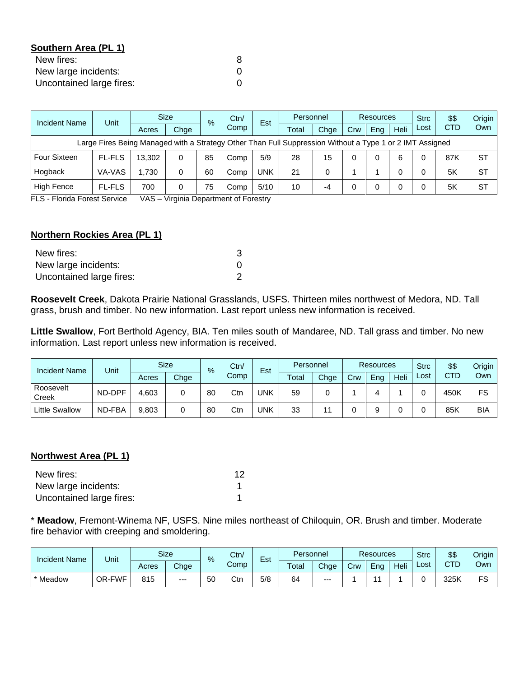## **Southern Area (PL 1)**

| New fires:               |  |
|--------------------------|--|
| New large incidents:     |  |
| Uncontained large fires: |  |

| Incident Name                                                                                            | Unit          |        | <b>Size</b><br>% |    | Ctn/ | Est  | Personnel |      | <b>Resources</b> |     |      | <b>Strc</b> | \$\$       | Origin    |
|----------------------------------------------------------------------------------------------------------|---------------|--------|------------------|----|------|------|-----------|------|------------------|-----|------|-------------|------------|-----------|
|                                                                                                          |               | Acres  | Chge             |    | Comp |      | Total     | Chae | Crw              | Ena | Heli | Lost        | <b>CTD</b> | Own       |
| Large Fires Being Managed with a Strategy Other Than Full Suppression Without a Type 1 or 2 IMT Assigned |               |        |                  |    |      |      |           |      |                  |     |      |             |            |           |
| <b>Four Sixteen</b>                                                                                      | <b>FL-FLS</b> | 13.302 | 0                | 85 | Comp | 5/9  | 28        | 15   |                  |     | 6    |             | 87K        | <b>ST</b> |
| Hogback                                                                                                  | VA-VAS        | 1.730  | 0                | 60 | Comp | UNK  | 21        | 0    |                  |     | 0    |             | 5K         | <b>ST</b> |
| High Fence                                                                                               | <b>FL-FLS</b> | 700    | 0                | 75 | Comp | 5/10 | 10        | -4   |                  |     | 0    |             | 5K         | <b>ST</b> |

FLS - Florida Forest Service VAS – Virginia Department of Forestry

### **Northern Rockies Area (PL 1)**

| New fires:               |  |
|--------------------------|--|
| New large incidents:     |  |
| Uncontained large fires: |  |

**Roosevelt Creek**, Dakota Prairie National Grasslands, USFS. Thirteen miles northwest of Medora, ND. Tall grass, brush and timber. No new information. Last report unless new information is received.

**Little Swallow**, Fort Berthold Agency, BIA. Ten miles south of Mandaree, ND. Tall grass and timber. No new information. Last report unless new information is received.

| <b>Incident Name</b>  | Unit   |       | <b>Size</b> | %  |      | Ctn/<br>Est |       | Personnel |     | <b>Resources</b> |      |      | \$\$       | Origin |
|-----------------------|--------|-------|-------------|----|------|-------------|-------|-----------|-----|------------------|------|------|------------|--------|
|                       |        | Acres | Chge        |    | Comp |             | Total | Chge      | Crw | Eng              | Heli | Lost | <b>CTD</b> | Own    |
| Roosevelt<br>Creek    | ND-DPF | 4,603 | 0           | 80 | Ctn  | UNK         | 59    |           |     |                  |      |      | 450K       | FS     |
| <b>Little Swallow</b> | ND-FBA | 9,803 | 0           | 80 | Ctn  | UNK         | 33    |           |     |                  |      |      | 85K        | BIA    |

#### **Northwest Area (PL 1)**

| New fires:               | 12 |
|--------------------------|----|
| New large incidents:     |    |
| Uncontained large fires: |    |

\* **Meadow**, Fremont-Winema NF, USFS. Nine miles northeast of Chiloquin, OR. Brush and timber. Moderate fire behavior with creeping and smoldering.

| <b>Incident Name</b> | Unit   |       | <b>Size</b> | Ctn/<br>$\%$<br>Comp |     |     |       |       |     |     |      |      |      |     |  |  |  |  |  |  |  | Est | Personnel |  | <b>Resources</b> |  | <b>Strc</b> | \$\$ | Origin |
|----------------------|--------|-------|-------------|----------------------|-----|-----|-------|-------|-----|-----|------|------|------|-----|--|--|--|--|--|--|--|-----|-----------|--|------------------|--|-------------|------|--------|
|                      |        | Acres | Chge        |                      |     |     | Total | Chge  | Crw | Ena | Heli | ∟ost | CTD  | Own |  |  |  |  |  |  |  |     |           |  |                  |  |             |      |        |
| * Meadow             | OR-FWF | 815   | $---$       | 50                   | Ctn | 5/8 | 64    | $---$ |     |     |      |      | 325K | FS  |  |  |  |  |  |  |  |     |           |  |                  |  |             |      |        |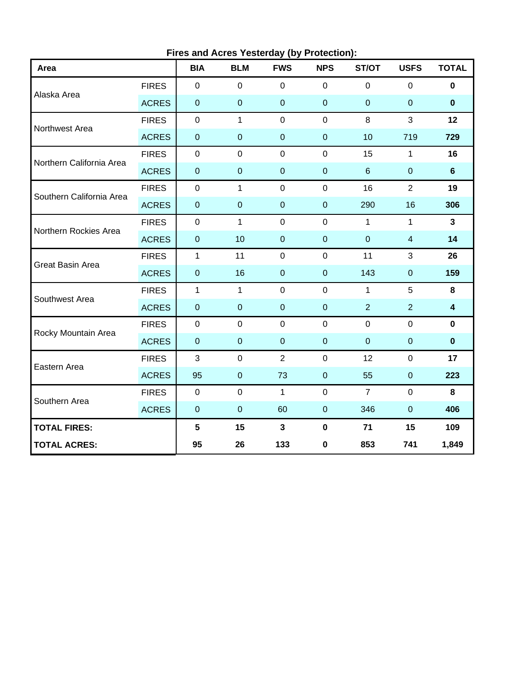| Area                     |              | <b>BIA</b>       | <b>Thes and Acres Testerday (by Frotection)</b> .<br><b>BLM</b> | <b>FWS</b>     | <b>NPS</b>       | ST/OT          | <b>USFS</b>    | <b>TOTAL</b>            |  |
|--------------------------|--------------|------------------|-----------------------------------------------------------------|----------------|------------------|----------------|----------------|-------------------------|--|
|                          | <b>FIRES</b> | $\mathbf 0$      | $\mathbf 0$                                                     | $\mathbf 0$    | $\mathbf 0$      | $\mathbf 0$    | $\mathbf 0$    | $\mathbf 0$             |  |
| Alaska Area              | <b>ACRES</b> | $\boldsymbol{0}$ | $\overline{0}$                                                  | $\overline{0}$ | $\mathbf 0$      | $\overline{0}$ | $\pmb{0}$      | $\mathbf 0$             |  |
| Northwest Area           | <b>FIRES</b> | $\mathbf 0$      | $\mathbf{1}$                                                    | $\mathbf{0}$   | $\overline{0}$   | 8              | 3              | 12                      |  |
|                          | <b>ACRES</b> | $\pmb{0}$        | $\mathbf 0$                                                     | $\mathbf 0$    | $\pmb{0}$        | 10             | 719            | 729                     |  |
| Northern California Area | <b>FIRES</b> | $\pmb{0}$        | $\pmb{0}$                                                       | $\mathbf 0$    | $\mathbf 0$      | 15             | $\mathbf{1}$   | 16                      |  |
|                          | <b>ACRES</b> | $\pmb{0}$        | $\pmb{0}$                                                       | $\mathbf 0$    | $\boldsymbol{0}$ | $6\phantom{1}$ | $\pmb{0}$      | $6\phantom{1}$          |  |
| Southern California Area | <b>FIRES</b> | $\mathbf 0$      | $\mathbf{1}$                                                    | $\mathbf 0$    | $\mathbf{0}$     | 16             | $\overline{2}$ | 19                      |  |
|                          | <b>ACRES</b> | $\boldsymbol{0}$ | $\overline{0}$                                                  | $\mathbf 0$    | $\overline{0}$   | 290            | 16             | 306                     |  |
| Northern Rockies Area    | <b>FIRES</b> | $\mathbf 0$      | $\mathbf{1}$                                                    | $\mathbf 0$    | $\mathbf 0$      | $\mathbf{1}$   | $\mathbf{1}$   | $\mathbf{3}$            |  |
|                          | <b>ACRES</b> | $\pmb{0}$        | 10                                                              | $\mathbf 0$    | $\mathbf{0}$     | $\mathbf 0$    | $\overline{4}$ | 14                      |  |
| Great Basin Area         | <b>FIRES</b> | $\mathbf{1}$     | 11                                                              | $\mathbf 0$    | $\mathbf 0$      | 11             | 3              | 26                      |  |
|                          | <b>ACRES</b> | $\pmb{0}$        | 16                                                              | $\mathbf 0$    | $\pmb{0}$        | 143            | $\pmb{0}$      | 159                     |  |
| Southwest Area           | <b>FIRES</b> | $\mathbf{1}$     | $\mathbf{1}$                                                    | $\mathbf 0$    | $\overline{0}$   | $\mathbf{1}$   | 5              | 8                       |  |
|                          | <b>ACRES</b> | $\pmb{0}$        | $\overline{0}$                                                  | $\mathbf 0$    | $\boldsymbol{0}$ | $\overline{2}$ | $\overline{2}$ | $\overline{\mathbf{4}}$ |  |
| Rocky Mountain Area      | <b>FIRES</b> | $\mathbf 0$      | $\mathbf 0$                                                     | $\mathbf 0$    | $\mathbf 0$      | $\overline{0}$ | $\mathbf 0$    | $\mathbf 0$             |  |
|                          | <b>ACRES</b> | $\pmb{0}$        | $\mathbf 0$                                                     | $\mathbf 0$    | $\pmb{0}$        | $\overline{0}$ | $\pmb{0}$      | $\mathbf 0$             |  |
| Eastern Area             | <b>FIRES</b> | 3                | $\mathbf 0$                                                     | $\overline{2}$ | $\pmb{0}$        | 12             | $\pmb{0}$      | 17                      |  |
|                          | <b>ACRES</b> | 95               | $\overline{0}$                                                  | 73             | $\boldsymbol{0}$ | 55             | $\pmb{0}$      | 223                     |  |
| Southern Area            | <b>FIRES</b> | $\pmb{0}$        | $\mathbf 0$                                                     | $\mathbf{1}$   | $\overline{0}$   | $\overline{7}$ | $\mathbf 0$    | 8                       |  |
|                          | <b>ACRES</b> | $\mathbf 0$      | $\pmb{0}$                                                       | 60             | $\pmb{0}$        | 346            | $\pmb{0}$      | 406                     |  |
| <b>TOTAL FIRES:</b>      |              | $5\phantom{a}$   | 15                                                              | $\overline{3}$ | $\pmb{0}$        | 71             | 15             | 109                     |  |
| <b>TOTAL ACRES:</b>      |              | 95               | 26                                                              | 133            | $\pmb{0}$        | 853            | 741            | 1,849                   |  |

**Fires and Acres Yesterday (by Protection):**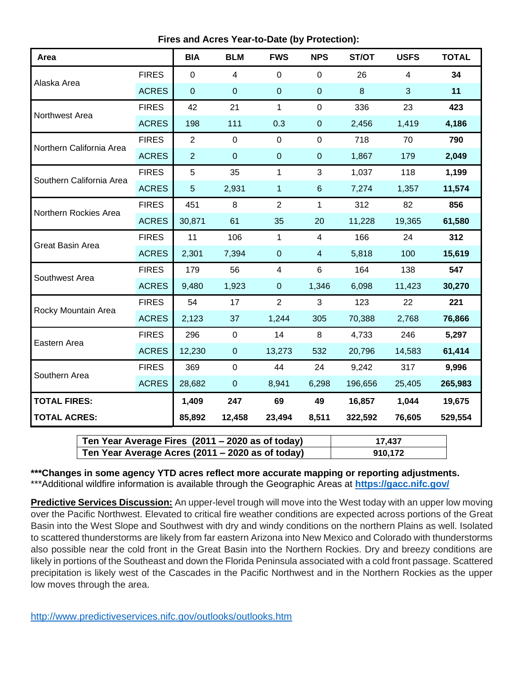**Fires and Acres Year-to-Date (by Protection):**

| Area                     |              | <b>BIA</b>     | <b>BLM</b>       | <b>FWS</b>     | <b>NPS</b>              | ST/OT   | <b>USFS</b>    | <b>TOTAL</b> |
|--------------------------|--------------|----------------|------------------|----------------|-------------------------|---------|----------------|--------------|
|                          | <b>FIRES</b> | $\mathbf 0$    | 4                | $\overline{0}$ | $\mathbf 0$             | 26      | $\overline{4}$ | 34           |
| Alaska Area              | <b>ACRES</b> | $\overline{0}$ | $\boldsymbol{0}$ | $\pmb{0}$      | $\boldsymbol{0}$        | $\bf 8$ | 3              | 11           |
| Northwest Area           | <b>FIRES</b> | 42             | 21               | $\mathbf{1}$   | $\mathbf 0$             | 336     | 23             | 423          |
|                          | <b>ACRES</b> | 198            | 111              | 0.3            | $\pmb{0}$               | 2,456   | 1,419          | 4,186        |
| Northern California Area | <b>FIRES</b> | $\overline{2}$ | $\mathbf 0$      | $\overline{0}$ | $\mathbf 0$             | 718     | 70             | 790          |
|                          | <b>ACRES</b> | $\overline{2}$ | $\mathbf 0$      | $\mathbf 0$    | $\mathbf{0}$            | 1,867   | 179            | 2,049        |
| Southern California Area | <b>FIRES</b> | 5              | 35               | $\mathbf{1}$   | 3                       | 1,037   | 118            | 1,199        |
|                          | <b>ACRES</b> | 5              | 2,931            | $\mathbf{1}$   | $6\phantom{1}$          | 7,274   | 1,357          | 11,574       |
| Northern Rockies Area    | <b>FIRES</b> | 451            | 8                | $\overline{2}$ | $\mathbf{1}$            | 312     | 82             | 856          |
|                          | <b>ACRES</b> | 30,871         | 61               | 35             | 20                      | 11,228  | 19,365         | 61,580       |
| <b>Great Basin Area</b>  | <b>FIRES</b> | 11             | 106              | $\mathbf{1}$   | $\overline{4}$          | 166     | 24             | 312          |
|                          | <b>ACRES</b> | 2,301          | 7,394            | $\pmb{0}$      | $\overline{\mathbf{4}}$ | 5,818   | 100            | 15,619       |
| Southwest Area           | <b>FIRES</b> | 179            | 56               | 4              | 6                       | 164     | 138            | 547          |
|                          | <b>ACRES</b> | 9,480          | 1,923            | $\pmb{0}$      | 1,346                   | 6,098   | 11,423         | 30,270       |
| Rocky Mountain Area      | <b>FIRES</b> | 54             | 17               | $\overline{2}$ | 3                       | 123     | 22             | 221          |
|                          | <b>ACRES</b> | 2,123          | 37               | 1,244          | 305                     | 70,388  | 2,768          | 76,866       |
| Eastern Area             | <b>FIRES</b> | 296            | $\mathbf 0$      | 14             | 8                       | 4,733   | 246            | 5,297        |
|                          | <b>ACRES</b> | 12,230         | $\mathbf 0$      | 13,273         | 532                     | 20,796  | 14,583         | 61,414       |
|                          | <b>FIRES</b> | 369            | $\mathbf 0$      | 44             | 24                      | 9,242   | 317            | 9,996        |
| Southern Area            | <b>ACRES</b> | 28,682         | $\mathbf 0$      | 8,941          | 6,298                   | 196,656 | 25,405         | 265,983      |
| <b>TOTAL FIRES:</b>      |              | 1,409          | 247              | 69             | 49                      | 16,857  | 1,044          | 19,675       |
| <b>TOTAL ACRES:</b>      |              | 85,892         | 12,458           | 23,494         | 8,511                   | 322,592 | 76,605         | 529,554      |

| Ten Year Average Fires (2011 – 2020 as of today) | 17.437  |
|--------------------------------------------------|---------|
| Ten Year Average Acres (2011 – 2020 as of today) | 910.172 |

**\*\*\*Changes in some agency YTD acres reflect more accurate mapping or reporting adjustments.** \*\*\*Additional wildfire information is available through the Geographic Areas at **<https://gacc.nifc.gov/>**

**Predictive Services Discussion:** An upper-level trough will move into the West today with an upper low moving over the Pacific Northwest. Elevated to critical fire weather conditions are expected across portions of the Great Basin into the West Slope and Southwest with dry and windy conditions on the northern Plains as well. Isolated to scattered thunderstorms are likely from far eastern Arizona into New Mexico and Colorado with thunderstorms also possible near the cold front in the Great Basin into the Northern Rockies. Dry and breezy conditions are likely in portions of the Southeast and down the Florida Peninsula associated with a cold front passage. Scattered precipitation is likely west of the Cascades in the Pacific Northwest and in the Northern Rockies as the upper low moves through the area.